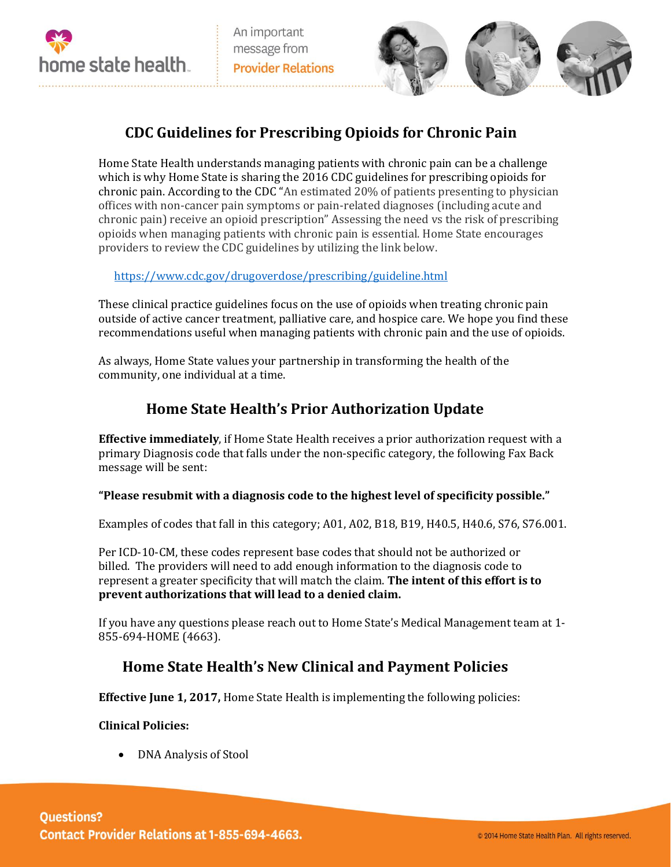



# **CDC Guidelines for Prescribing Opioids for Chronic Pain**

Home State Health understands managing patients with chronic pain can be a challenge which is why Home State is sharing the 2016 CDC guidelines for prescribing opioids for chronic pain. According to the CDC "An estimated 20% of patients presenting to physician offices with non-cancer pain symptoms or pain-related diagnoses (including acute and chronic pain) receive an opioid prescription" Assessing the need vs the risk of prescribing opioids when managing patients with chronic pain is essential. Home State encourages providers to review the CDC guidelines by utilizing the link below.

<https://www.cdc.gov/drugoverdose/prescribing/guideline.html>

These clinical practice guidelines focus on the use of opioids when treating chronic pain outside of active cancer treatment, palliative care, and hospice care. We hope you find these recommendations useful when managing patients with chronic pain and the use of opioids.

As always, Home State values your partnership in transforming the health of the community, one individual at a time.

## **Home State Health's Prior Authorization Update**

**Effective immediately**, if Home State Health receives a prior authorization request with a primary Diagnosis code that falls under the non-specific category, the following Fax Back message will be sent:

### **"Please resubmit with a diagnosis code to the highest level of specificity possible."**

Examples of codes that fall in this category; A01, A02, B18, B19, H40.5, H40.6, S76, S76.001.

Per ICD-10-CM, these codes represent base codes that should not be authorized or billed. The providers will need to add enough information to the diagnosis code to represent a greater specificity that will match the claim. **The intent of this effort is to prevent authorizations that will lead to a denied claim.**

If you have any questions please reach out to Home State's Medical Management team at 1- 855-694-HOME (4663).

### **Home State Health's New Clinical and Payment Policies**

**Effective June 1, 2017,** Home State Health is implementing the following policies:

#### **Clinical Policies:**

• DNA Analysis of Stool